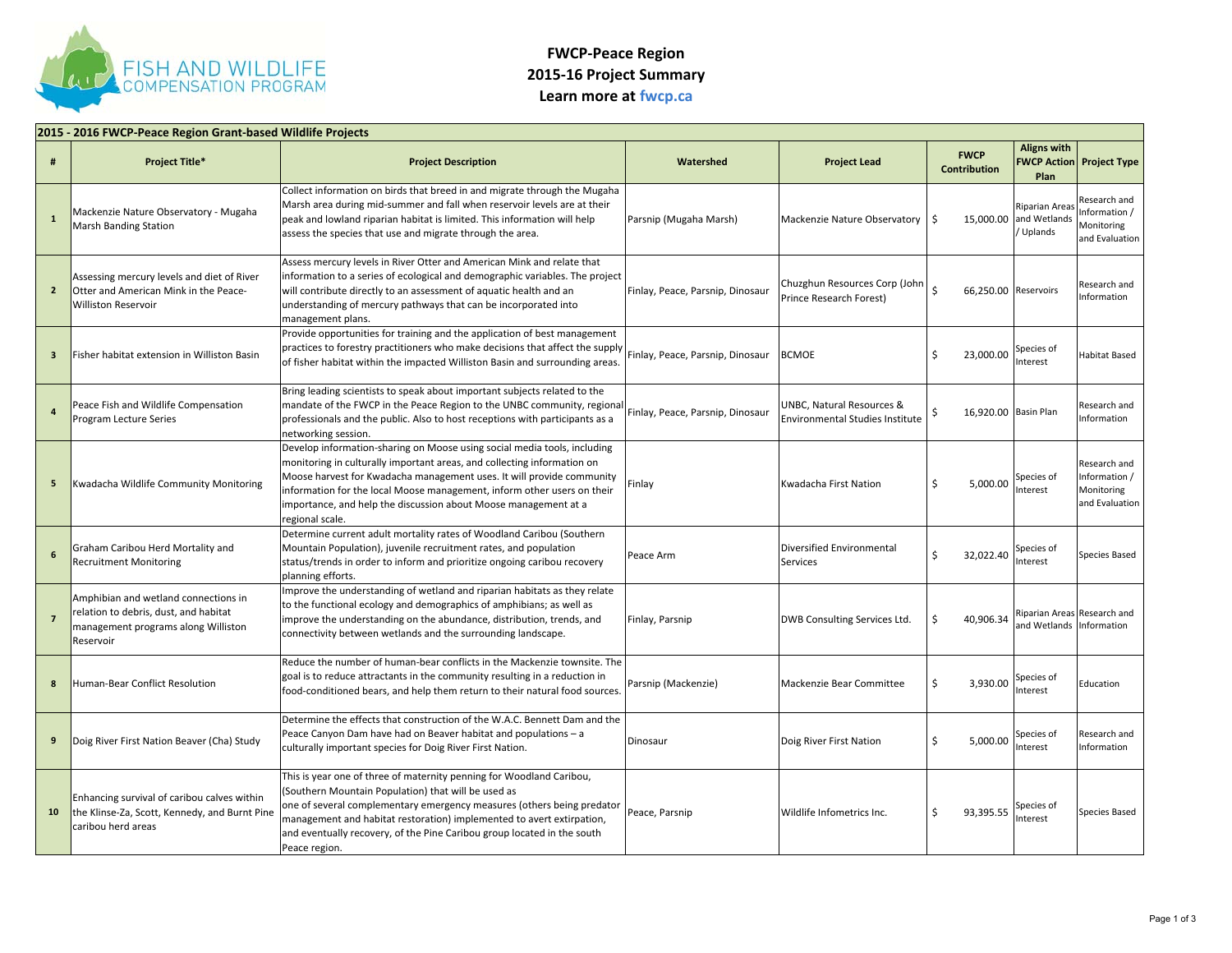

## **FWCP‐Peace Region 2015‐16 Project Summary Learn more at fwcp.ca**

| 2015 - 2016 FWCP-Peace Region Grant-based Wildlife Projects |                                                                                                                                   |                                                                                                                                                                                                                                                                                                                                                                                              |                                  |                                                              |                                    |                                                         |                                                              |  |
|-------------------------------------------------------------|-----------------------------------------------------------------------------------------------------------------------------------|----------------------------------------------------------------------------------------------------------------------------------------------------------------------------------------------------------------------------------------------------------------------------------------------------------------------------------------------------------------------------------------------|----------------------------------|--------------------------------------------------------------|------------------------------------|---------------------------------------------------------|--------------------------------------------------------------|--|
| #                                                           | <b>Project Title*</b>                                                                                                             | <b>Project Description</b>                                                                                                                                                                                                                                                                                                                                                                   | Watershed                        | <b>Project Lead</b>                                          | <b>FWCP</b><br><b>Contribution</b> | <b>Aligns with</b><br><b>FWCP Action</b><br>Plan        | <b>Project Type</b>                                          |  |
| $\mathbf{1}$                                                | Mackenzie Nature Observatory - Mugaha<br><b>Marsh Banding Station</b>                                                             | Collect information on birds that breed in and migrate through the Mugaha<br>Marsh area during mid-summer and fall when reservoir levels are at their<br>peak and lowland riparian habitat is limited. This information will help<br>assess the species that use and migrate through the area.                                                                                               | Parsnip (Mugaha Marsh)           | Mackenzie Nature Observatory                                 | -\$                                | Riparian Area:<br>15,000.00 and Wetlands<br>Uplands     | Research and<br>nformation /<br>Monitoring<br>and Evaluation |  |
| $\overline{2}$                                              | Assessing mercury levels and diet of River<br>Otter and American Mink in the Peace-<br><b>Williston Reservoir</b>                 | Assess mercury levels in River Otter and American Mink and relate that<br>information to a series of ecological and demographic variables. The project<br>will contribute directly to an assessment of aquatic health and an<br>understanding of mercury pathways that can be incorporated into<br>management plans.                                                                         | Finlay, Peace, Parsnip, Dinosaur | Chuzghun Resources Corp (John<br>Prince Research Forest)     | 66,250.00 Reservoirs               |                                                         | Research and<br>nformation                                   |  |
| $\overline{\mathbf{3}}$                                     | Fisher habitat extension in Williston Basin                                                                                       | Provide opportunities for training and the application of best management<br>practices to forestry practitioners who make decisions that affect the supply<br>of fisher habitat within the impacted Williston Basin and surrounding areas.                                                                                                                                                   | Finlay, Peace, Parsnip, Dinosaur | <b>BCMOE</b>                                                 | Ś<br>23,000.00                     | Species of<br>nterest                                   | Habitat Based                                                |  |
|                                                             | Peace Fish and Wildlife Compensation<br>Program Lecture Series                                                                    | Bring leading scientists to speak about important subjects related to the<br>mandate of the FWCP in the Peace Region to the UNBC community, regional<br>professionals and the public. Also to host receptions with participants as a<br>networking session.                                                                                                                                  | Finlay, Peace, Parsnip, Dinosaur | UNBC, Natural Resources &<br>Environmental Studies Institute | 16,920.00 Basin Plan<br>S          |                                                         | Research and<br>nformation                                   |  |
| 5                                                           | Kwadacha Wildlife Community Monitoring                                                                                            | Develop information-sharing on Moose using social media tools, including<br>monitoring in culturally important areas, and collecting information on<br>Moose harvest for Kwadacha management uses. It will provide community<br>information for the local Moose management, inform other users on their<br>importance, and help the discussion about Moose management at a<br>egional scale. | Finlay                           | Kwadacha First Nation                                        | Ŝ<br>5,000.00                      | Species of<br>nterest                                   | Research and<br>nformation /<br>Monitoring<br>and Evaluation |  |
| 6                                                           | Graham Caribou Herd Mortality and<br><b>Recruitment Monitoring</b>                                                                | Determine current adult mortality rates of Woodland Caribou (Southern<br>Mountain Population), juvenile recruitment rates, and population<br>status/trends in order to inform and prioritize ongoing caribou recovery<br>planning efforts.                                                                                                                                                   | Peace Arm                        | Diversified Environmental<br>Services                        | Ś<br>32,022.40                     | Species of<br>nterest                                   | Species Based                                                |  |
| $\overline{7}$                                              | Amphibian and wetland connections in<br>relation to debris, dust, and habitat<br>management programs along Williston<br>Reservoir | mprove the understanding of wetland and riparian habitats as they relate<br>to the functional ecology and demographics of amphibians; as well as<br>improve the understanding on the abundance, distribution, trends, and<br>connectivity between wetlands and the surrounding landscape.                                                                                                    | Finlay, Parsnip                  | DWB Consulting Services Ltd.                                 | 40,906.34<br>Ŝ                     | Riparian Areas Research and<br>and Wetlands Information |                                                              |  |
| 8                                                           | Human-Bear Conflict Resolution                                                                                                    | Reduce the number of human-bear conflicts in the Mackenzie townsite. The<br>goal is to reduce attractants in the community resulting in a reduction in<br>food-conditioned bears, and help them return to their natural food sources.                                                                                                                                                        | Parsnip (Mackenzie)              | Mackenzie Bear Committee                                     | \$<br>3,930.00                     | Species of<br>nterest                                   | Education                                                    |  |
| 9                                                           | Doig River First Nation Beaver (Cha) Study                                                                                        | Determine the effects that construction of the W.A.C. Bennett Dam and the<br>Peace Canyon Dam have had on Beaver habitat and populations - a<br>culturally important species for Doig River First Nation.                                                                                                                                                                                    | Dinosaur                         | Doig River First Nation                                      | Ś<br>5,000.00                      | Species of<br>nterest                                   | Research and<br>Information                                  |  |
| 10                                                          | Enhancing survival of caribou calves within<br>the Klinse-Za, Scott, Kennedy, and Burnt Pine<br>caribou herd areas                | This is year one of three of maternity penning for Woodland Caribou,<br>(Southern Mountain Population) that will be used as<br>one of several complementary emergency measures (others being predator<br>management and habitat restoration) implemented to avert extirpation,<br>and eventually recovery, of the Pine Caribou group located in the south<br>Peace region.                   | Peace, Parsnip                   | Wildlife Infometrics Inc.                                    | Ś<br>93,395.55                     | Species of<br>nterest                                   | Species Based                                                |  |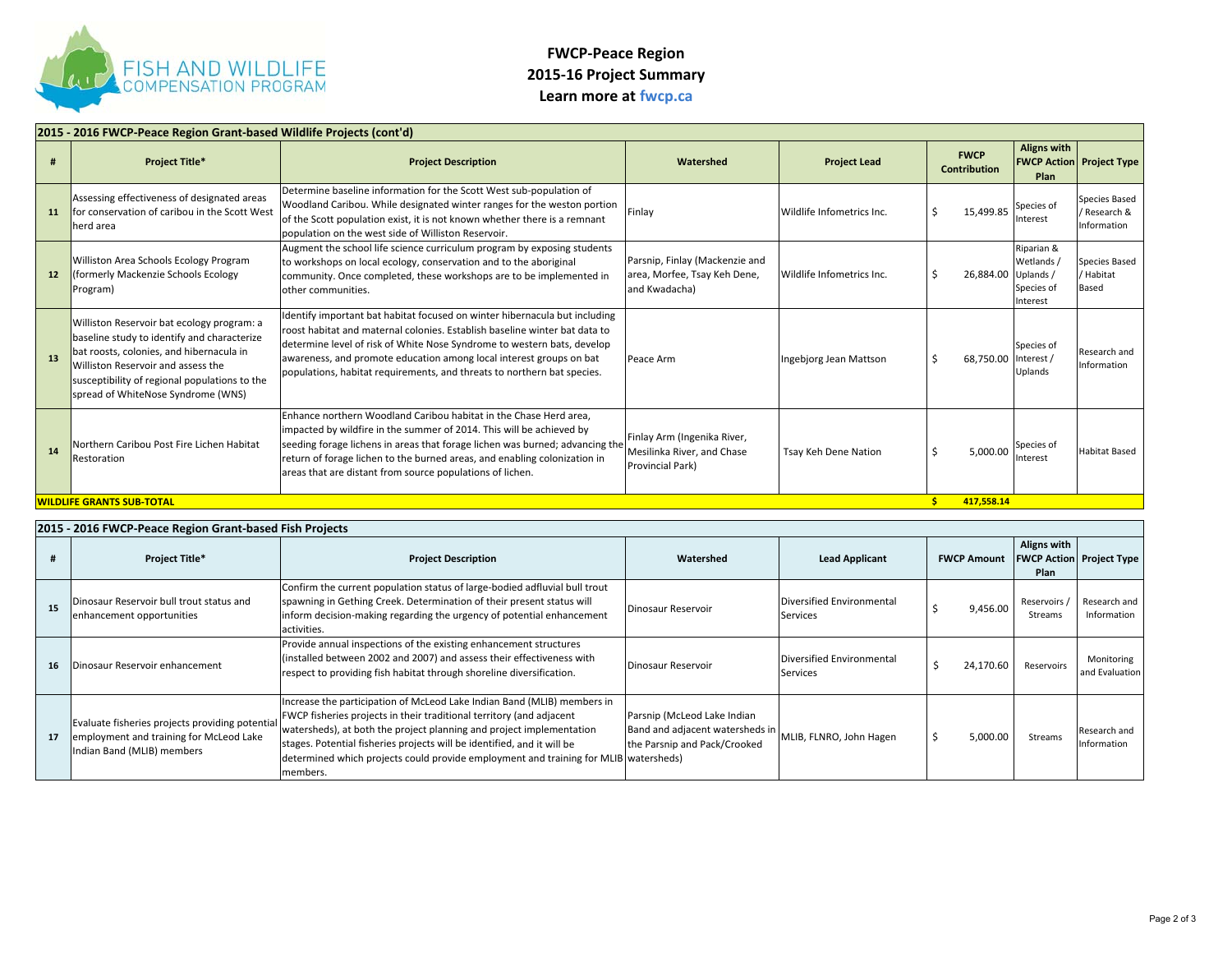

## **FWCP‐Peace Region 2015‐16 Project Summary Learn more at fwcp.ca**

|    | 2015 - 2016 FWCP-Peace Region Grant-based Wildlife Projects (cont'd)                                                                                                                                                                                               |                                                                                                                                                                                                                                                                                                                                                                                       |                                                                                 |                           |                                    |                                                    |                                            |  |  |
|----|--------------------------------------------------------------------------------------------------------------------------------------------------------------------------------------------------------------------------------------------------------------------|---------------------------------------------------------------------------------------------------------------------------------------------------------------------------------------------------------------------------------------------------------------------------------------------------------------------------------------------------------------------------------------|---------------------------------------------------------------------------------|---------------------------|------------------------------------|----------------------------------------------------|--------------------------------------------|--|--|
|    | <b>Project Title*</b>                                                                                                                                                                                                                                              | <b>Project Description</b>                                                                                                                                                                                                                                                                                                                                                            | Watershed                                                                       | <b>Project Lead</b>       | <b>FWCP</b><br><b>Contribution</b> | <b>Aligns with</b><br>Plan                         | <b>FWCP Action Project Type</b>            |  |  |
| 11 | Assessing effectiveness of designated areas<br>for conservation of caribou in the Scott West<br>herd area                                                                                                                                                          | Determine baseline information for the Scott West sub-population of<br>Woodland Caribou. While designated winter ranges for the weston portion<br>of the Scott population exist, it is not known whether there is a remnant<br>population on the west side of Williston Reservoir.                                                                                                    | Finlay                                                                          | Wildlife Infometrics Inc. | 15,499.85                          | Species of<br>Interest                             | Species Based<br>Research &<br>Information |  |  |
| 12 | Williston Area Schools Ecology Program<br>formerly Mackenzie Schools Ecology<br>Program)                                                                                                                                                                           | Augment the school life science curriculum program by exposing students<br>to workshops on local ecology, conservation and to the aboriginal<br>community. Once completed, these workshops are to be implemented in<br>other communities.                                                                                                                                             | Parsnip, Finlay (Mackenzie and<br>area, Morfee, Tsay Keh Dene,<br>and Kwadacha) | Wildlife Infometrics Inc. | 26,884.00 Uplands /                | Riparian &<br>Wetlands /<br>Species of<br>Interest | Species Based<br>/ Habitat<br>Based        |  |  |
| 13 | Williston Reservoir bat ecology program: a<br>baseline study to identify and characterize<br>bat roosts, colonies, and hibernacula in<br>Williston Reservoir and assess the<br>susceptibility of regional populations to the<br>spread of WhiteNose Syndrome (WNS) | Identify important bat habitat focused on winter hibernacula but including<br>roost habitat and maternal colonies. Establish baseline winter bat data to<br>determine level of risk of White Nose Syndrome to western bats, develop<br>awareness, and promote education among local interest groups on bat<br>populations, habitat requirements, and threats to northern bat species. | Peace Arm                                                                       | Ingebjorg Jean Mattson    | 68,750.00 Interest /               | Species of<br>Uplands                              | Research and<br>Information                |  |  |
| 14 | Northern Caribou Post Fire Lichen Habitat<br>Restoration                                                                                                                                                                                                           | Enhance northern Woodland Caribou habitat in the Chase Herd area.<br>impacted by wildfire in the summer of 2014. This will be achieved by<br>seeding forage lichens in areas that forage lichen was burned; advancing the<br>return of forage lichen to the burned areas, and enabling colonization in<br>areas that are distant from source populations of lichen.                   | Finlay Arm (Ingenika River,<br>Mesilinka River, and Chase<br>Provincial Park)   | Tsay Keh Dene Nation      | 5,000.00                           | Species of<br>Interest                             | <b>Habitat Based</b>                       |  |  |
|    | <b>WILDLIFE GRANTS SUB-TOTAL</b><br>417,558.14                                                                                                                                                                                                                     |                                                                                                                                                                                                                                                                                                                                                                                       |                                                                                 |                           |                                    |                                                    |                                            |  |  |

## **2015 ‐ 2016 FWCP‐Peace Region Grant‐based Fish Projects # Project Title\* Project Description Watershed Lead Applicant FWCP Amount Aligns with FWCP Action Project Type Plan 15**Dinosaur Reservoir bull trout status and enhancement opportunities Confirm the current population status of large‐bodied adfluvial bull trout spawning in Gething Creek. Determination of their present status will inform decision‐making regarding the urgency of potential enhancement activities. DinosaurReservoir **Diversified Environmental** Services **19,456.00** Reservoirs / Research and Information **16** Dinosaur Reservoir enhancement Provide annual inspections of the existing enhancement structures (installed between 2002 and 2007) and assess their effectiveness with (installed between 2002 and 2007) and assess their effectiveness with discussed point of the servoir point of providing fish habitat through shoreline diversification.<br>The services services services of the services of the **17**Evaluate fisheries projects providing potential employment and training for McLeod Lake Indian Band (MLIB) members Increase the participation of McLeod Lake Indian Band (MLIB) members in FWCP fisheries projects in their traditional territory (and adjacent watersheds), at both the project planning and project implementation stages. Potential fisheries projects will be identified, and it will be determined which projects could provide employment and training for MLIB watersheds) members.Parsnip (McLeod Lake Indian Band and adjacent watersheds in the Parsnip and Pack/Crooked MLIB, FLNRO, John Hagen  $\begin{vmatrix} 5 & 5,000.00 \end{vmatrix}$  Streams Research and